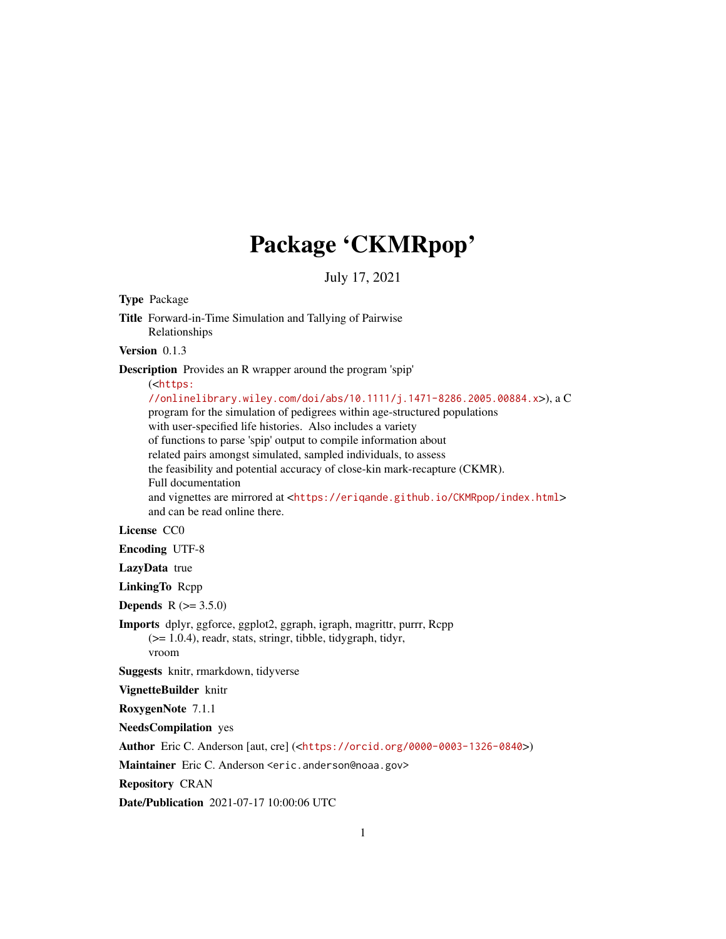# Package 'CKMRpop'

July 17, 2021

Type Package

Title Forward-in-Time Simulation and Tallying of Pairwise Relationships

Version 0.1.3

Description Provides an R wrapper around the program 'spip'

(<[https:](https://onlinelibrary.wiley.com/doi/abs/10.1111/j.1471-8286.2005.00884.x)

[//onlinelibrary.wiley.com/doi/abs/10.1111/j.1471-8286.2005.00884.x](https://onlinelibrary.wiley.com/doi/abs/10.1111/j.1471-8286.2005.00884.x)>), a C program for the simulation of pedigrees within age-structured populations with user-specified life histories. Also includes a variety of functions to parse 'spip' output to compile information about related pairs amongst simulated, sampled individuals, to assess the feasibility and potential accuracy of close-kin mark-recapture (CKMR). Full documentation and vignettes are mirrored at <<https://eriqande.github.io/CKMRpop/index.html>> and can be read online there.

License CC0

Encoding UTF-8

LazyData true

LinkingTo Rcpp

**Depends** R  $(>= 3.5.0)$ 

Imports dplyr, ggforce, ggplot2, ggraph, igraph, magrittr, purrr, Rcpp (>= 1.0.4), readr, stats, stringr, tibble, tidygraph, tidyr, vroom

Suggests knitr, rmarkdown, tidyverse

VignetteBuilder knitr

RoxygenNote 7.1.1

NeedsCompilation yes

Author Eric C. Anderson [aut, cre] (<<https://orcid.org/0000-0003-1326-0840>>)

Maintainer Eric C. Anderson <eric.anderson@noaa.gov>

Repository CRAN

Date/Publication 2021-07-17 10:00:06 UTC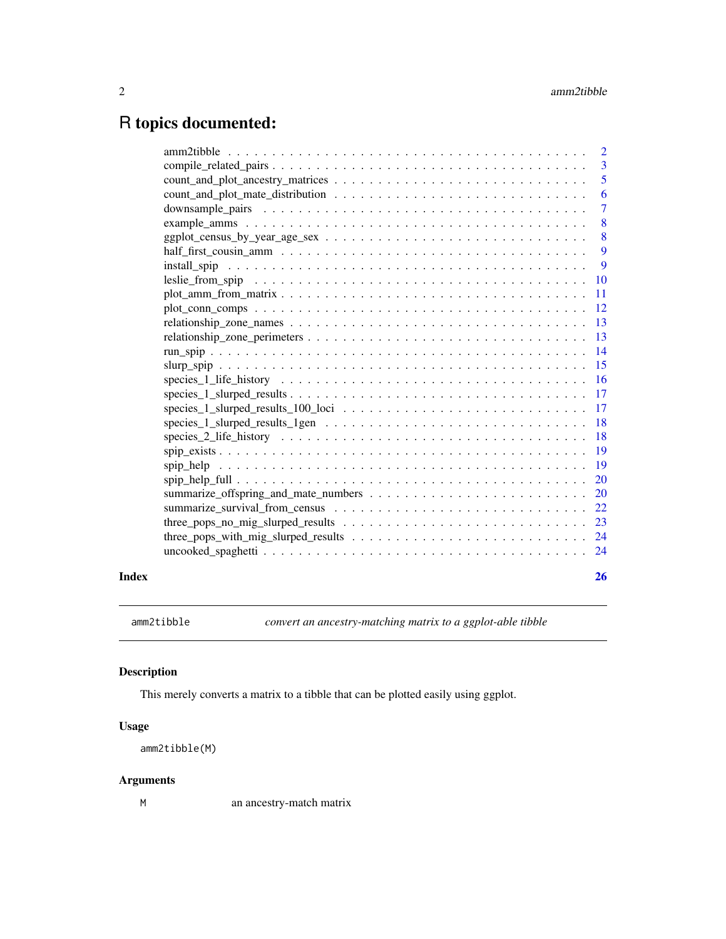## <span id="page-1-0"></span>R topics documented:

|       |                                                                                                                         | $\overline{2}$ |
|-------|-------------------------------------------------------------------------------------------------------------------------|----------------|
|       |                                                                                                                         | 3              |
|       |                                                                                                                         | 5              |
|       |                                                                                                                         | 6              |
|       |                                                                                                                         | $\overline{7}$ |
|       |                                                                                                                         | 8              |
|       | $ggplot_census_by\_year_age\_sex \dots \dots \dots \dots \dots \dots \dots \dots \dots \dots \dots$                     | 8              |
|       |                                                                                                                         | -9             |
|       |                                                                                                                         | 9              |
|       |                                                                                                                         |                |
|       |                                                                                                                         | 11             |
|       |                                                                                                                         | -12            |
|       |                                                                                                                         | -13            |
|       |                                                                                                                         |                |
|       |                                                                                                                         | -14            |
|       |                                                                                                                         | 15             |
|       |                                                                                                                         |                |
|       |                                                                                                                         |                |
|       | $species_1_slureed_results_100_loci \ldots \ldots \ldots \ldots \ldots \ldots \ldots \ldots \ldots$                     | -17            |
|       | $species_1_s$$ species $_1_s$ slurped results $_1$ gen $\ldots \ldots \ldots \ldots \ldots \ldots \ldots \ldots \ldots$ | <b>18</b>      |
|       |                                                                                                                         | <sup>18</sup>  |
|       |                                                                                                                         | <sup>19</sup>  |
|       |                                                                                                                         |                |
|       |                                                                                                                         | <b>20</b>      |
|       |                                                                                                                         | <b>20</b>      |
|       |                                                                                                                         |                |
|       |                                                                                                                         | 23             |
|       |                                                                                                                         |                |
|       |                                                                                                                         |                |
|       |                                                                                                                         |                |
| Index |                                                                                                                         | 26             |

amm2tibble *convert an ancestry-matching matrix to a ggplot-able tibble*

## Description

This merely converts a matrix to a tibble that can be plotted easily using ggplot.

#### Usage

amm2tibble(M)

#### Arguments

M an ancestry-match matrix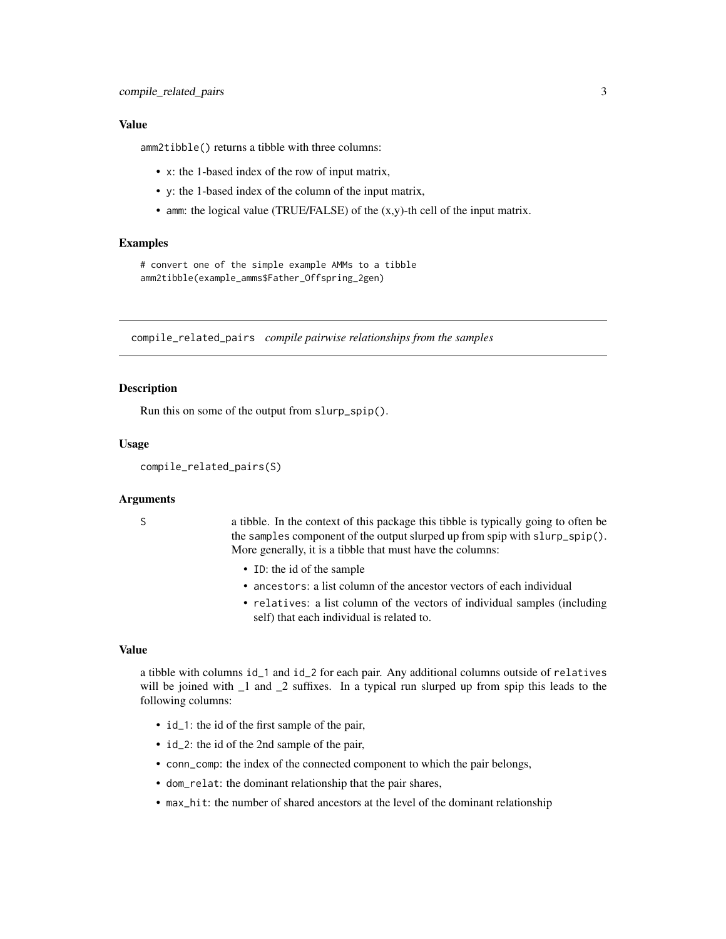#### <span id="page-2-0"></span>Value

amm2tibble() returns a tibble with three columns:

- x: the 1-based index of the row of input matrix,
- y: the 1-based index of the column of the input matrix,
- amm: the logical value (TRUE/FALSE) of the (x,y)-th cell of the input matrix.

#### Examples

# convert one of the simple example AMMs to a tibble amm2tibble(example\_amms\$Father\_Offspring\_2gen)

compile\_related\_pairs *compile pairwise relationships from the samples*

#### **Description**

Run this on some of the output from slurp\_spip().

#### Usage

```
compile_related_pairs(S)
```
#### Arguments

S a tibble. In the context of this package this tibble is typically going to often be the samples component of the output slurped up from spip with slurp\_spip(). More generally, it is a tibble that must have the columns:

- ID: the id of the sample
- ancestors: a list column of the ancestor vectors of each individual
- relatives: a list column of the vectors of individual samples (including self) that each individual is related to.

#### Value

a tibble with columns id\_1 and id\_2 for each pair. Any additional columns outside of relatives will be joined with 1 and 2 suffixes. In a typical run slurped up from spip this leads to the following columns:

- id\_1: the id of the first sample of the pair,
- id\_2: the id of the 2nd sample of the pair,
- conn\_comp: the index of the connected component to which the pair belongs,
- dom\_relat: the dominant relationship that the pair shares,
- max\_hit: the number of shared ancestors at the level of the dominant relationship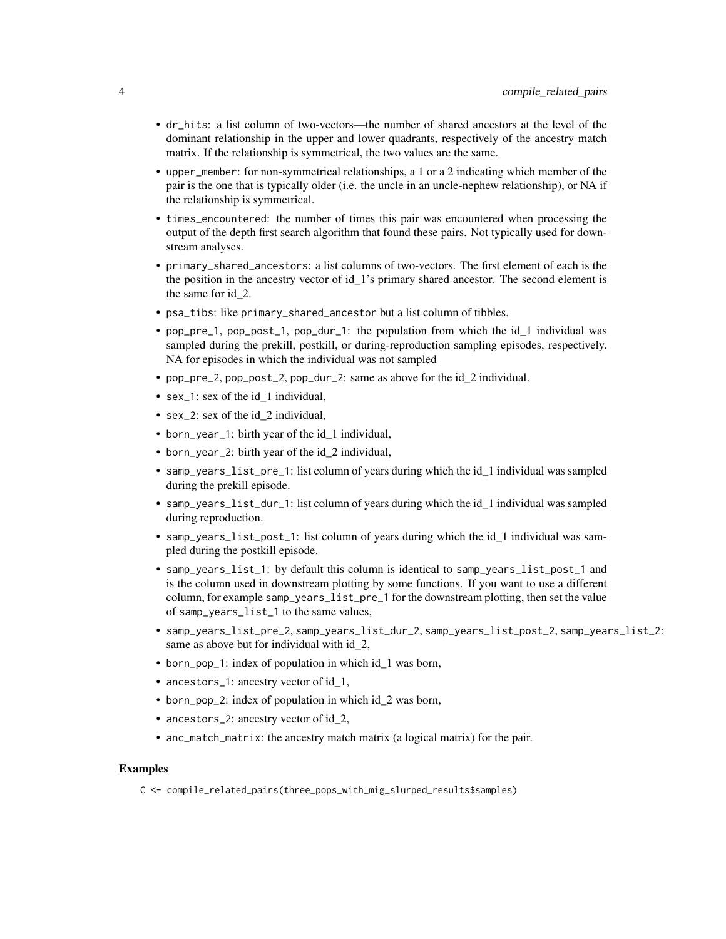- dr\_hits: a list column of two-vectors—the number of shared ancestors at the level of the dominant relationship in the upper and lower quadrants, respectively of the ancestry match matrix. If the relationship is symmetrical, the two values are the same.
- upper\_member: for non-symmetrical relationships, a 1 or a 2 indicating which member of the pair is the one that is typically older (i.e. the uncle in an uncle-nephew relationship), or NA if the relationship is symmetrical.
- times\_encountered: the number of times this pair was encountered when processing the output of the depth first search algorithm that found these pairs. Not typically used for downstream analyses.
- primary\_shared\_ancestors: a list columns of two-vectors. The first element of each is the the position in the ancestry vector of id\_1's primary shared ancestor. The second element is the same for id\_2.
- psa\_tibs: like primary\_shared\_ancestor but a list column of tibbles.
- pop\_pre\_1, pop\_post\_1, pop\_dur\_1: the population from which the id\_1 individual was sampled during the prekill, postkill, or during-reproduction sampling episodes, respectively. NA for episodes in which the individual was not sampled
- pop\_pre\_2, pop\_post\_2, pop\_dur\_2: same as above for the id\_2 individual.
- sex\_1: sex of the id\_1 individual,
- sex\_2: sex of the id 2 individual,
- born\_year\_1: birth year of the id\_1 individual,
- born\_year\_2: birth year of the id 2 individual,
- samp\_years\_list\_pre\_1: list column of years during which the id 1 individual was sampled during the prekill episode.
- samp\_years\_list\_dur\_1: list column of years during which the id 1 individual was sampled during reproduction.
- samp\_years\_list\_post\_1: list column of years during which the id\_1 individual was sampled during the postkill episode.
- samp\_years\_list\_1: by default this column is identical to samp\_years\_list\_post\_1 and is the column used in downstream plotting by some functions. If you want to use a different column, for example samp\_years\_list\_pre\_1 for the downstream plotting, then set the value of samp\_years\_list\_1 to the same values,
- samp\_years\_list\_pre\_2, samp\_years\_list\_dur\_2, samp\_years\_list\_post\_2, samp\_years\_list\_2: same as above but for individual with id 2,
- born\_pop\_1: index of population in which id 1 was born,
- ancestors\_1: ancestry vector of id 1,
- born\_pop\_2: index of population in which id 2 was born,
- ancestors\_2: ancestry vector of id 2,
- anc\_match\_matrix: the ancestry match matrix (a logical matrix) for the pair.

#### Examples

C <- compile\_related\_pairs(three\_pops\_with\_mig\_slurped\_results\$samples)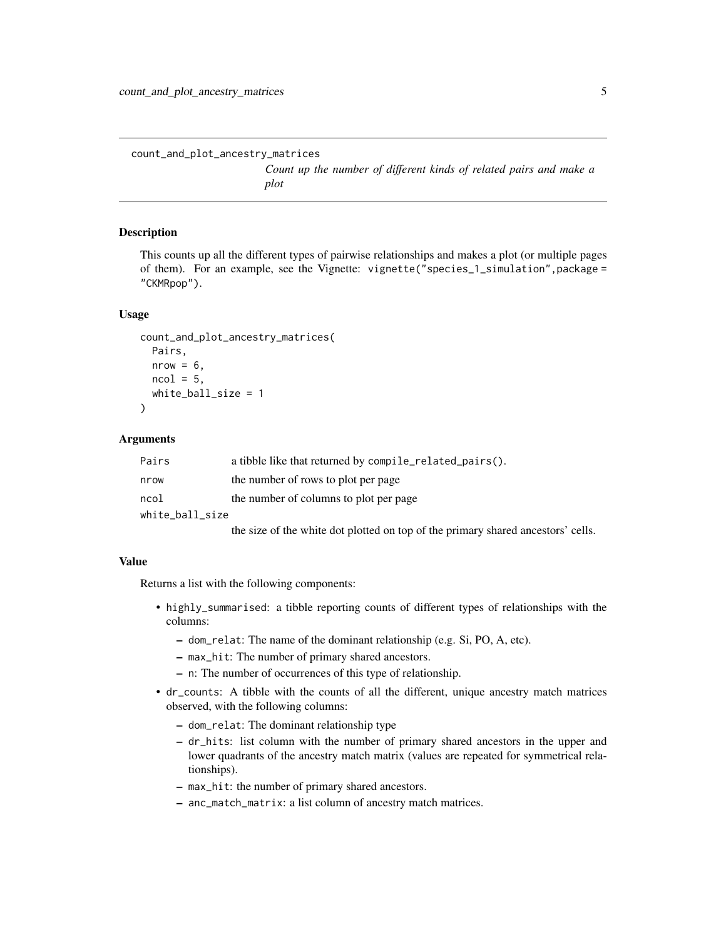<span id="page-4-0"></span>count\_and\_plot\_ancestry\_matrices

*Count up the number of different kinds of related pairs and make a plot*

#### Description

This counts up all the different types of pairwise relationships and makes a plot (or multiple pages of them). For an example, see the Vignette: vignette("species\_1\_simulation",package = "CKMRpop").

#### Usage

```
count_and_plot_ancestry_matrices(
  Pairs,
  nrow = 6,
 ncol = 5,
  white_ball_size = 1
)
```
#### Arguments

| Pairs           | a tibble like that returned by compile_related_pairs(). |  |
|-----------------|---------------------------------------------------------|--|
| nrow            | the number of rows to plot per page                     |  |
| ncol            | the number of columns to plot per page                  |  |
| white ball size |                                                         |  |

the size of the white dot plotted on top of the primary shared ancestors' cells.

#### Value

Returns a list with the following components:

- highly\_summarised: a tibble reporting counts of different types of relationships with the columns:
	- dom\_relat: The name of the dominant relationship (e.g. Si, PO, A, etc).
	- max\_hit: The number of primary shared ancestors.
	- n: The number of occurrences of this type of relationship.
- dr\_counts: A tibble with the counts of all the different, unique ancestry match matrices observed, with the following columns:
	- dom\_relat: The dominant relationship type
	- dr\_hits: list column with the number of primary shared ancestors in the upper and lower quadrants of the ancestry match matrix (values are repeated for symmetrical relationships).
	- max\_hit: the number of primary shared ancestors.
	- anc\_match\_matrix: a list column of ancestry match matrices.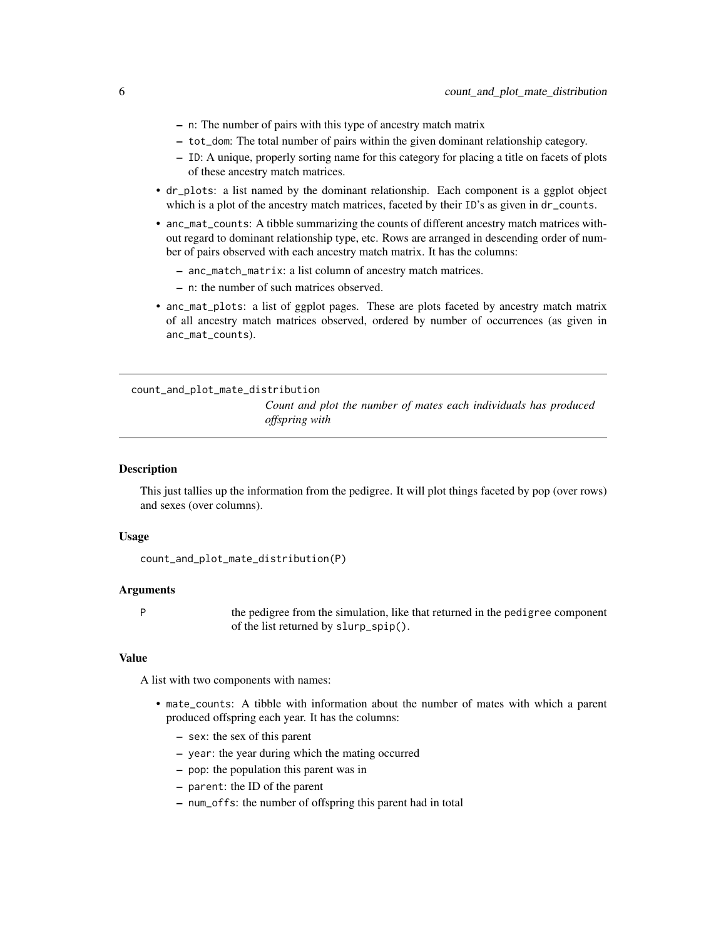- <span id="page-5-0"></span>– n: The number of pairs with this type of ancestry match matrix
- tot\_dom: The total number of pairs within the given dominant relationship category.
- ID: A unique, properly sorting name for this category for placing a title on facets of plots of these ancestry match matrices.
- dr\_plots: a list named by the dominant relationship. Each component is a ggplot object which is a plot of the ancestry match matrices, faceted by their ID's as given in dr\_counts.
- anc\_mat\_counts: A tibble summarizing the counts of different ancestry match matrices without regard to dominant relationship type, etc. Rows are arranged in descending order of number of pairs observed with each ancestry match matrix. It has the columns:
	- anc\_match\_matrix: a list column of ancestry match matrices.
	- n: the number of such matrices observed.
- anc\_mat\_plots: a list of ggplot pages. These are plots faceted by ancestry match matrix of all ancestry match matrices observed, ordered by number of occurrences (as given in anc\_mat\_counts).

count\_and\_plot\_mate\_distribution *Count and plot the number of mates each individuals has produced offspring with*

#### Description

This just tallies up the information from the pedigree. It will plot things faceted by pop (over rows) and sexes (over columns).

#### Usage

```
count_and_plot_mate_distribution(P)
```
#### Arguments

P the pedigree from the simulation, like that returned in the pedigree component of the list returned by slurp\_spip().

#### Value

A list with two components with names:

- mate\_counts: A tibble with information about the number of mates with which a parent produced offspring each year. It has the columns:
	- sex: the sex of this parent
	- year: the year during which the mating occurred
	- pop: the population this parent was in
	- parent: the ID of the parent
	- num\_offs: the number of offspring this parent had in total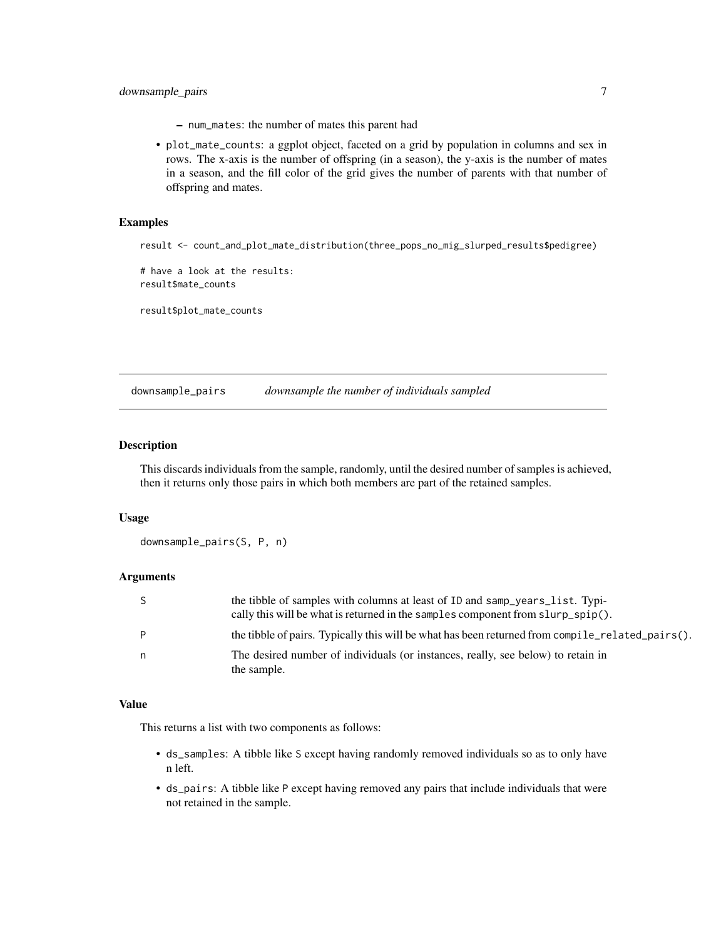- <span id="page-6-0"></span>– num\_mates: the number of mates this parent had
- plot\_mate\_counts: a ggplot object, faceted on a grid by population in columns and sex in rows. The x-axis is the number of offspring (in a season), the y-axis is the number of mates in a season, and the fill color of the grid gives the number of parents with that number of offspring and mates.

#### Examples

```
result <- count_and_plot_mate_distribution(three_pops_no_mig_slurped_results$pedigree)
```
# have a look at the results: result\$mate\_counts

result\$plot\_mate\_counts

downsample\_pairs *downsample the number of individuals sampled*

#### Description

This discards individuals from the sample, randomly, until the desired number of samples is achieved, then it returns only those pairs in which both members are part of the retained samples.

#### Usage

downsample\_pairs(S, P, n)

#### Arguments

| S | the tibble of samples with columns at least of ID and samp_years_list. Typi-<br>cally this will be what is returned in the samples component from slurp_spip(). |
|---|-----------------------------------------------------------------------------------------------------------------------------------------------------------------|
| P | the tibble of pairs. Typically this will be what has been returned from compile_related_pairs().                                                                |
| n | The desired number of individuals (or instances, really, see below) to retain in<br>the sample.                                                                 |

#### Value

This returns a list with two components as follows:

- ds\_samples: A tibble like S except having randomly removed individuals so as to only have n left.
- ds\_pairs: A tibble like P except having removed any pairs that include individuals that were not retained in the sample.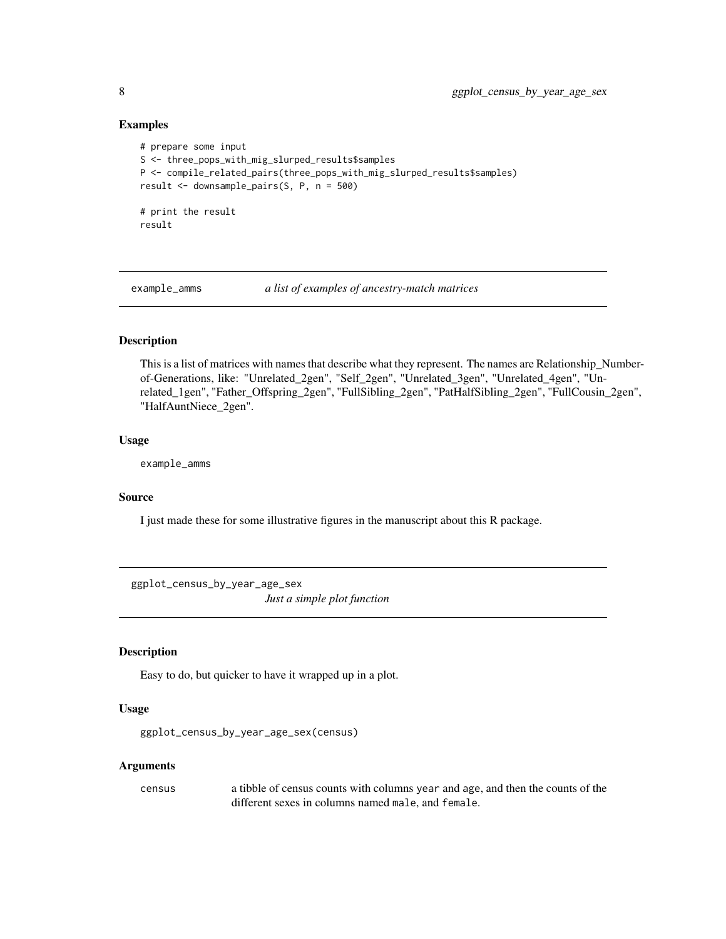#### Examples

```
# prepare some input
S <- three_pops_with_mig_slurped_results$samples
P <- compile_related_pairs(three_pops_with_mig_slurped_results$samples)
result <- downsample_pairs(S, P, n = 500)
# print the result
result
```
example\_amms *a list of examples of ancestry-match matrices*

#### Description

This is a list of matrices with names that describe what they represent. The names are Relationship\_Numberof-Generations, like: "Unrelated\_2gen", "Self\_2gen", "Unrelated\_3gen", "Unrelated\_4gen", "Unrelated\_1gen", "Father\_Offspring\_2gen", "FullSibling\_2gen", "PatHalfSibling\_2gen", "FullCousin\_2gen", "HalfAuntNiece\_2gen".

#### Usage

example\_amms

#### Source

I just made these for some illustrative figures in the manuscript about this R package.

ggplot\_census\_by\_year\_age\_sex *Just a simple plot function*

#### Description

Easy to do, but quicker to have it wrapped up in a plot.

#### Usage

ggplot\_census\_by\_year\_age\_sex(census)

#### **Arguments**

census a tibble of census counts with columns year and age, and then the counts of the different sexes in columns named male, and female.

<span id="page-7-0"></span>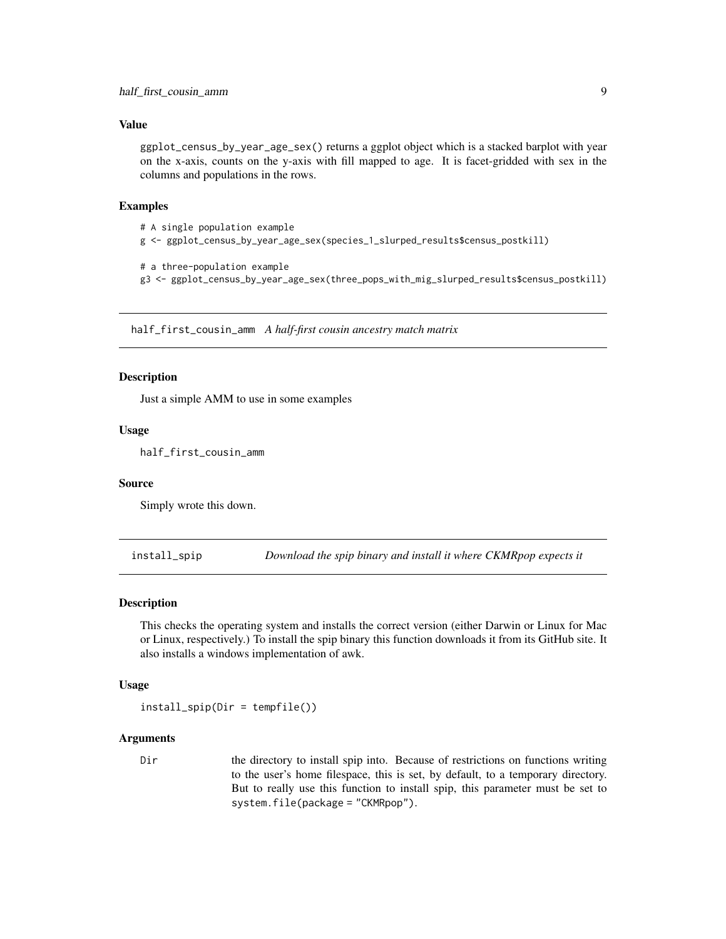#### <span id="page-8-0"></span>Value

ggplot\_census\_by\_year\_age\_sex() returns a ggplot object which is a stacked barplot with year on the x-axis, counts on the y-axis with fill mapped to age. It is facet-gridded with sex in the columns and populations in the rows.

#### Examples

```
# A single population example
g <- ggplot_census_by_year_age_sex(species_1_slurped_results$census_postkill)
# a three-population example
```
g3 <- ggplot\_census\_by\_year\_age\_sex(three\_pops\_with\_mig\_slurped\_results\$census\_postkill)

half\_first\_cousin\_amm *A half-first cousin ancestry match matrix*

#### Description

Just a simple AMM to use in some examples

#### Usage

half\_first\_cousin\_amm

#### Source

Simply wrote this down.

install\_spip *Download the spip binary and install it where CKMRpop expects it*

#### Description

This checks the operating system and installs the correct version (either Darwin or Linux for Mac or Linux, respectively.) To install the spip binary this function downloads it from its GitHub site. It also installs a windows implementation of awk.

#### Usage

```
install_spip(Dir = tempfile())
```
#### Arguments

Dir the directory to install spip into. Because of restrictions on functions writing to the user's home filespace, this is set, by default, to a temporary directory. But to really use this function to install spip, this parameter must be set to system.file(package = "CKMRpop").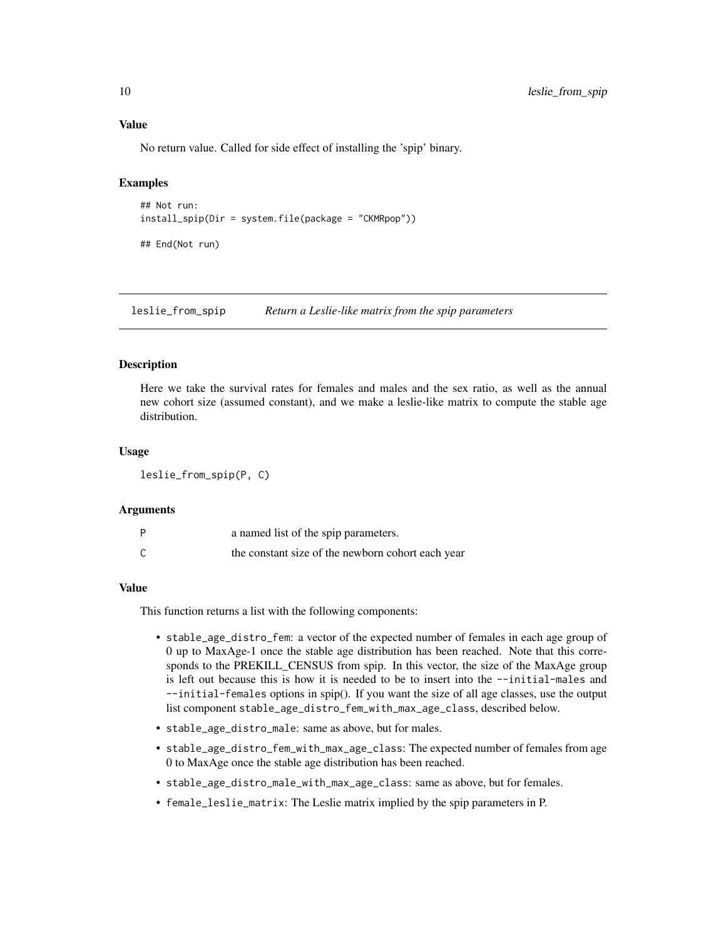<span id="page-9-0"></span>No return value. Called for side effect of installing the 'spip' binary.

#### Examples

```
## Not run:
install_spip(Dir = system.file(package = "CKMRpop"))
```
## End(Not run)

leslie\_from\_spip *Return a Leslie-like matrix from the spip parameters*

#### Description

Here we take the survival rates for females and males and the sex ratio, as well as the annual new cohort size (assumed constant), and we make a leslie-like matrix to compute the stable age distribution.

#### Usage

leslie\_from\_spip(P, C)

#### Arguments

| D | a named list of the spip parameters.              |
|---|---------------------------------------------------|
| ⌒ | the constant size of the newborn cohort each year |

#### Value

This function returns a list with the following components:

- stable\_age\_distro\_fem: a vector of the expected number of females in each age group of 0 up to MaxAge-1 once the stable age distribution has been reached. Note that this corresponds to the PREKILL\_CENSUS from spip. In this vector, the size of the MaxAge group is left out because this is how it is needed to be to insert into the --initial-males and --initial-females options in spip(). If you want the size of all age classes, use the output list component stable\_age\_distro\_fem\_with\_max\_age\_class, described below.
- stable\_age\_distro\_male: same as above, but for males.
- stable\_age\_distro\_fem\_with\_max\_age\_class: The expected number of females from age 0 to MaxAge once the stable age distribution has been reached.
- stable\_age\_distro\_male\_with\_max\_age\_class: same as above, but for females.
- female\_leslie\_matrix: The Leslie matrix implied by the spip parameters in P.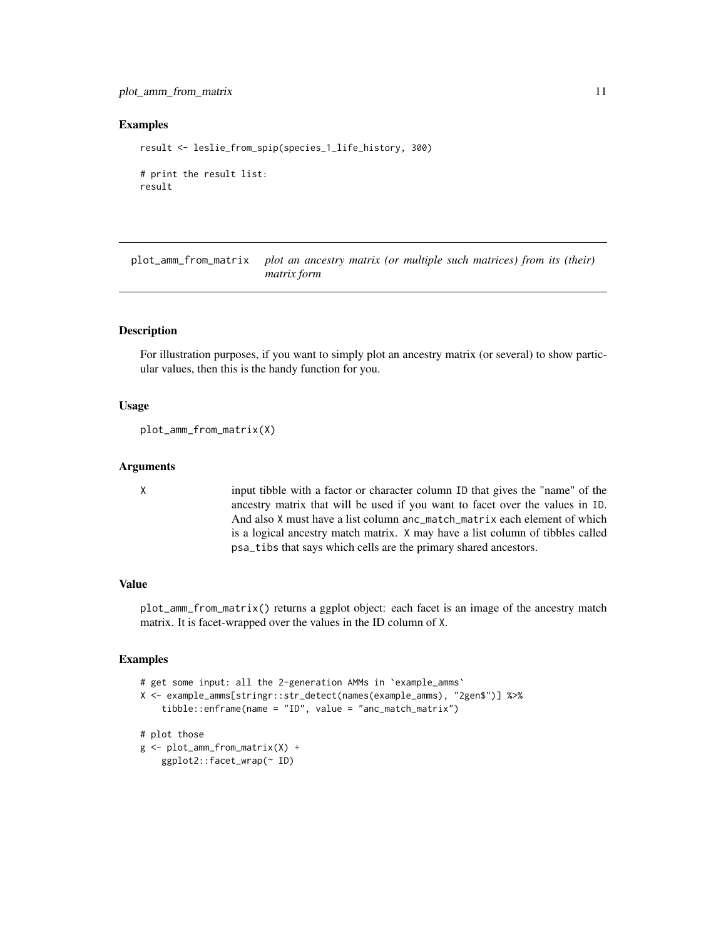#### <span id="page-10-0"></span>plot\_amm\_from\_matrix 11

#### Examples

```
result <- leslie_from_spip(species_1_life_history, 300)
# print the result list:
result
```
plot\_amm\_from\_matrix *plot an ancestry matrix (or multiple such matrices) from its (their) matrix form*

#### Description

For illustration purposes, if you want to simply plot an ancestry matrix (or several) to show particular values, then this is the handy function for you.

#### Usage

```
plot_amm_from_matrix(X)
```
#### **Arguments**

X input tibble with a factor or character column ID that gives the "name" of the ancestry matrix that will be used if you want to facet over the values in ID. And also X must have a list column anc\_match\_matrix each element of which is a logical ancestry match matrix. X may have a list column of tibbles called psa\_tibs that says which cells are the primary shared ancestors.

#### Value

plot\_amm\_from\_matrix() returns a ggplot object: each facet is an image of the ancestry match matrix. It is facet-wrapped over the values in the ID column of X.

#### Examples

```
# get some input: all the 2-generation AMMs in 'example_amms'
X <- example_amms[stringr::str_detect(names(example_amms), "2gen$")] %>%
    tibble::enframe(name = "ID", value = "anc_match_matrix")
# plot those
g <- plot_amm_from_matrix(X) +
```

```
ggplot2::facet_wrap(~ ID)
```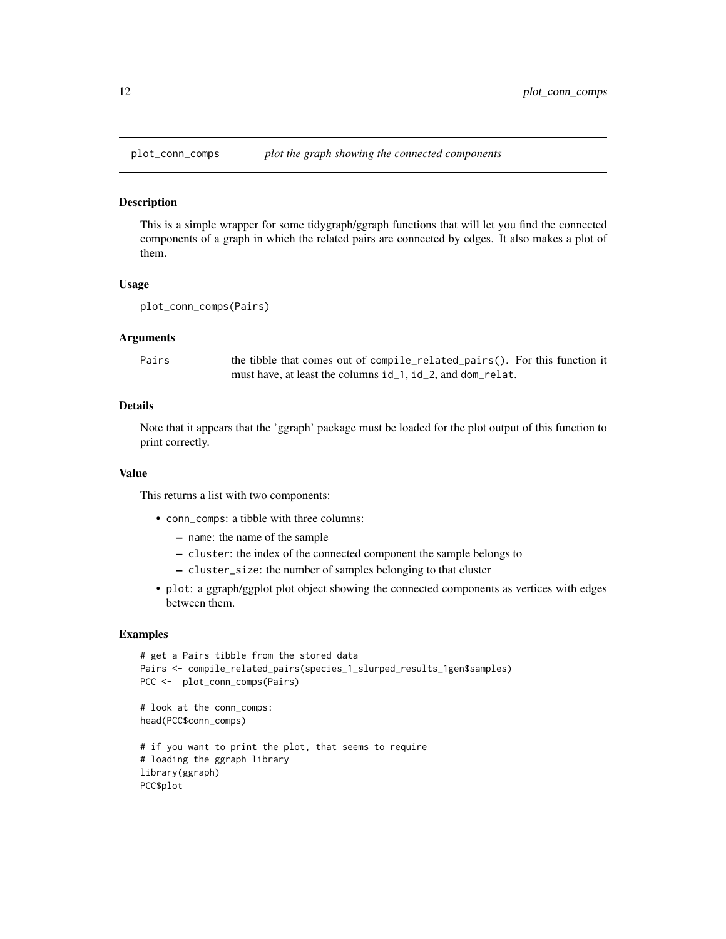<span id="page-11-0"></span>

#### Description

This is a simple wrapper for some tidygraph/ggraph functions that will let you find the connected components of a graph in which the related pairs are connected by edges. It also makes a plot of them.

#### Usage

```
plot_conn_comps(Pairs)
```
#### Arguments

| Pairs | the tibble that comes out of compile_related_pairs(). For this function it |
|-------|----------------------------------------------------------------------------|
|       | must have, at least the columns id_1, id_2, and dom_relat.                 |

#### Details

Note that it appears that the 'ggraph' package must be loaded for the plot output of this function to print correctly.

#### Value

This returns a list with two components:

- conn\_comps: a tibble with three columns:
	- name: the name of the sample
	- cluster: the index of the connected component the sample belongs to
	- cluster\_size: the number of samples belonging to that cluster
- plot: a ggraph/ggplot plot object showing the connected components as vertices with edges between them.

#### Examples

```
# get a Pairs tibble from the stored data
Pairs <- compile_related_pairs(species_1_slurped_results_1gen$samples)
PCC <- plot_conn_comps(Pairs)
# look at the conn_comps:
head(PCC$conn_comps)
# if you want to print the plot, that seems to require
# loading the ggraph library
library(ggraph)
PCC$plot
```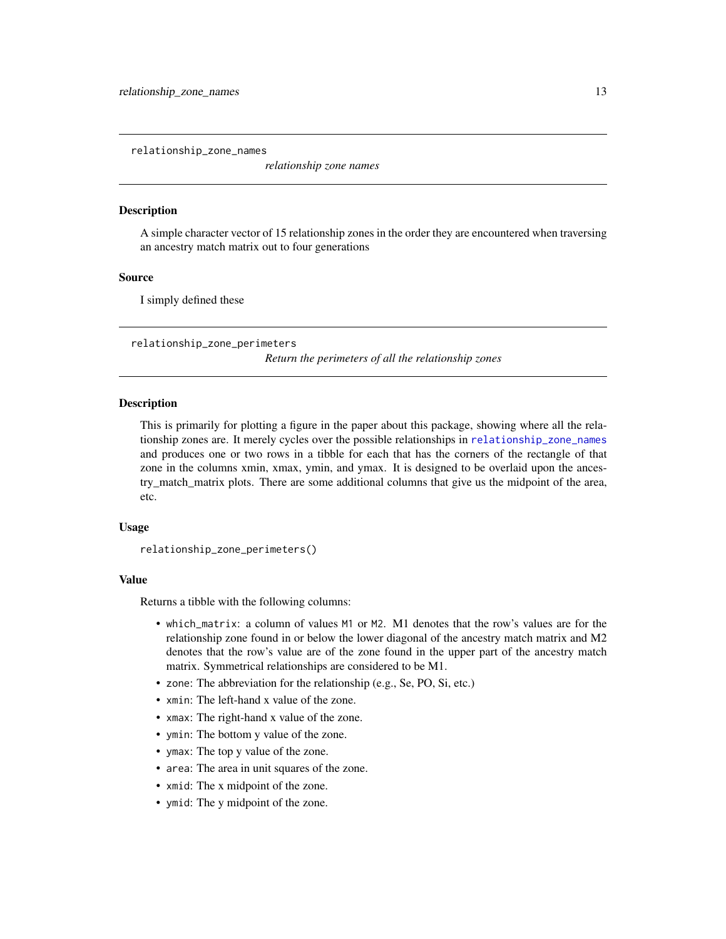<span id="page-12-1"></span><span id="page-12-0"></span>relationship\_zone\_names

*relationship zone names*

#### **Description**

A simple character vector of 15 relationship zones in the order they are encountered when traversing an ancestry match matrix out to four generations

#### Source

I simply defined these

relationship\_zone\_perimeters

*Return the perimeters of all the relationship zones*

#### **Description**

This is primarily for plotting a figure in the paper about this package, showing where all the relationship zones are. It merely cycles over the possible relationships in [relationship\\_zone\\_names](#page-12-1) and produces one or two rows in a tibble for each that has the corners of the rectangle of that zone in the columns xmin, xmax, ymin, and ymax. It is designed to be overlaid upon the ancestry\_match\_matrix plots. There are some additional columns that give us the midpoint of the area, etc.

#### Usage

```
relationship_zone_perimeters()
```
#### Value

Returns a tibble with the following columns:

- which\_matrix: a column of values M1 or M2. M1 denotes that the row's values are for the relationship zone found in or below the lower diagonal of the ancestry match matrix and M2 denotes that the row's value are of the zone found in the upper part of the ancestry match matrix. Symmetrical relationships are considered to be M1.
- zone: The abbreviation for the relationship (e.g., Se, PO, Si, etc.)
- xmin: The left-hand x value of the zone.
- xmax: The right-hand x value of the zone.
- ymin: The bottom y value of the zone.
- ymax: The top y value of the zone.
- area: The area in unit squares of the zone.
- xmid: The x midpoint of the zone.
- ymid: The y midpoint of the zone.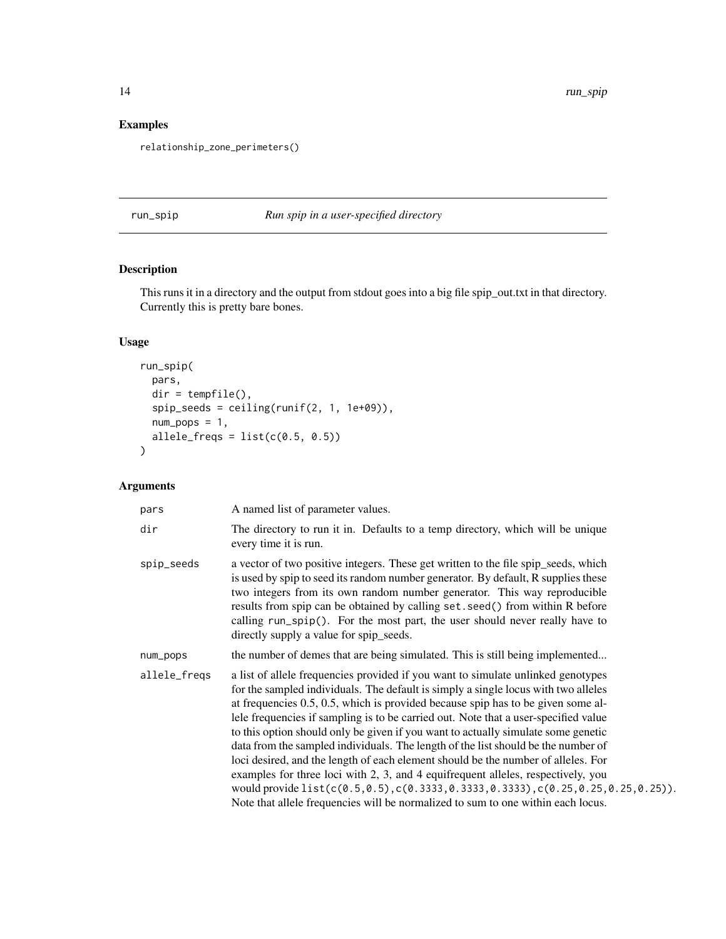#### <span id="page-13-0"></span>Examples

relationship\_zone\_perimeters()

run\_spip *Run spip in a user-specified directory*

#### Description

This runs it in a directory and the output from stdout goes into a big file spip\_out.txt in that directory. Currently this is pretty bare bones.

#### Usage

```
run_spip(
 pars,
 dir = tempfile(),
 spip_seeds = ceiling(runif(2, 1, 1e+09)),
 num\_pops = 1,
 allele_freqs = list(c(0.5, 0.5)))
```
#### Arguments

| pars         | A named list of parameter values.                                                                                                                                                                                                                                                                                                                                                                                                                                                                                                                                                                                                                                                                                                                                                                                                                                                          |
|--------------|--------------------------------------------------------------------------------------------------------------------------------------------------------------------------------------------------------------------------------------------------------------------------------------------------------------------------------------------------------------------------------------------------------------------------------------------------------------------------------------------------------------------------------------------------------------------------------------------------------------------------------------------------------------------------------------------------------------------------------------------------------------------------------------------------------------------------------------------------------------------------------------------|
| dir          | The directory to run it in. Defaults to a temp directory, which will be unique<br>every time it is run.                                                                                                                                                                                                                                                                                                                                                                                                                                                                                                                                                                                                                                                                                                                                                                                    |
| spip_seeds   | a vector of two positive integers. These get written to the file spip_seeds, which<br>is used by spip to seed its random number generator. By default, R supplies these<br>two integers from its own random number generator. This way reproducible<br>results from spip can be obtained by calling set. seed() from within R before<br>calling run_spip(). For the most part, the user should never really have to<br>directly supply a value for spip_seeds.                                                                                                                                                                                                                                                                                                                                                                                                                             |
| num_pops     | the number of demes that are being simulated. This is still being implemented                                                                                                                                                                                                                                                                                                                                                                                                                                                                                                                                                                                                                                                                                                                                                                                                              |
| allele_freqs | a list of allele frequencies provided if you want to simulate unlinked genotypes<br>for the sampled individuals. The default is simply a single locus with two alleles<br>at frequencies $0.5$ , $0.5$ , which is provided because spip has to be given some al-<br>lele frequencies if sampling is to be carried out. Note that a user-specified value<br>to this option should only be given if you want to actually simulate some genetic<br>data from the sampled individuals. The length of the list should be the number of<br>loci desired, and the length of each element should be the number of alleles. For<br>examples for three loci with 2, 3, and 4 equifrequent alleles, respectively, you<br>would provide $list(c(0.5, 0.5), c(0.3333, 0.3333, 0.3333), c(0.25, 0.25, 0.25, 0.25)).$<br>Note that allele frequencies will be normalized to sum to one within each locus. |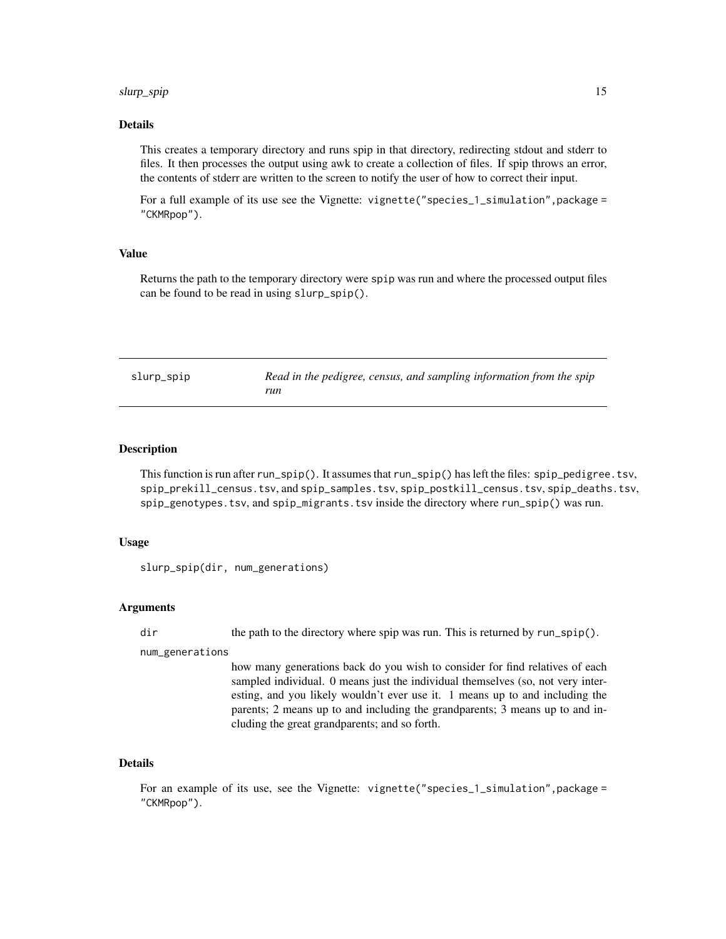#### <span id="page-14-0"></span>slurp\_spip 15

#### Details

This creates a temporary directory and runs spip in that directory, redirecting stdout and stderr to files. It then processes the output using awk to create a collection of files. If spip throws an error, the contents of stderr are written to the screen to notify the user of how to correct their input.

For a full example of its use see the Vignette: vignette("species\_1\_simulation",package = "CKMRpop").

#### Value

Returns the path to the temporary directory were spip was run and where the processed output files can be found to be read in using slurp\_spip().

slurp\_spip *Read in the pedigree, census, and sampling information from the spip run*

#### Description

This function is run after run\_spip(). It assumes that run\_spip() has left the files: spip\_pedigree.tsv, spip\_prekill\_census.tsv, and spip\_samples.tsv, spip\_postkill\_census.tsv, spip\_deaths.tsv, spip\_genotypes.tsv, and spip\_migrants.tsv inside the directory where run\_spip() was run.

#### Usage

slurp\_spip(dir, num\_generations)

#### Arguments

dir the path to the directory where spip was run. This is returned by run\_spip().

num\_generations

how many generations back do you wish to consider for find relatives of each sampled individual. 0 means just the individual themselves (so, not very interesting, and you likely wouldn't ever use it. 1 means up to and including the parents; 2 means up to and including the grandparents; 3 means up to and including the great grandparents; and so forth.

#### Details

For an example of its use, see the Vignette: vignette("species\_1\_simulation",package = "CKMRpop").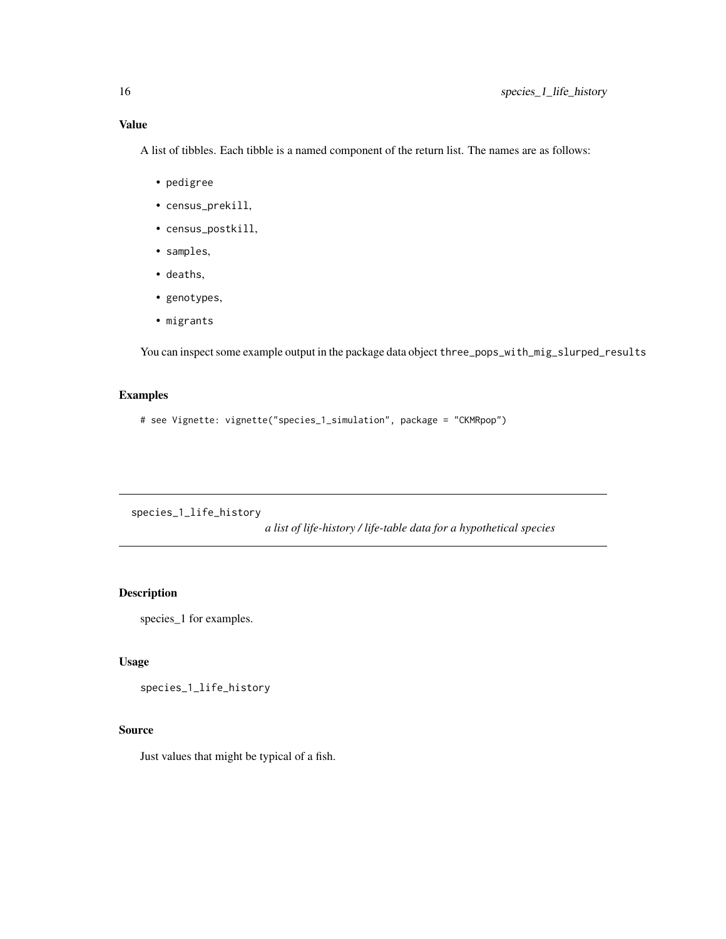<span id="page-15-0"></span>A list of tibbles. Each tibble is a named component of the return list. The names are as follows:

- pedigree
- census\_prekill,
- census\_postkill,
- samples,
- deaths,
- genotypes,
- migrants

You can inspect some example output in the package data object three\_pops\_with\_mig\_slurped\_results

#### Examples

```
# see Vignette: vignette("species_1_simulation", package = "CKMRpop")
```
species\_1\_life\_history

*a list of life-history / life-table data for a hypothetical species*

#### Description

species\_1 for examples.

#### Usage

species\_1\_life\_history

#### Source

Just values that might be typical of a fish.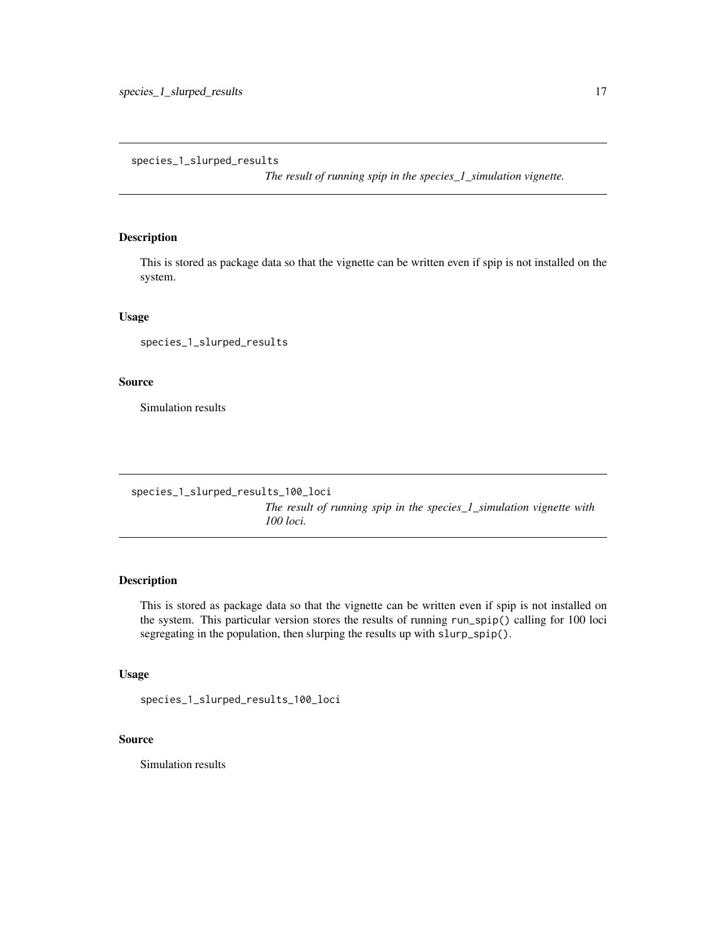<span id="page-16-0"></span>species\_1\_slurped\_results

*The result of running spip in the species\_1\_simulation vignette.*

#### Description

This is stored as package data so that the vignette can be written even if spip is not installed on the system.

#### Usage

species\_1\_slurped\_results

#### Source

Simulation results

```
species_1_slurped_results_100_loci
```
*The result of running spip in the species\_1\_simulation vignette with 100 loci.*

#### Description

This is stored as package data so that the vignette can be written even if spip is not installed on the system. This particular version stores the results of running run\_spip() calling for 100 loci segregating in the population, then slurping the results up with slurp\_spip().

#### Usage

```
species_1_slurped_results_100_loci
```
#### Source

Simulation results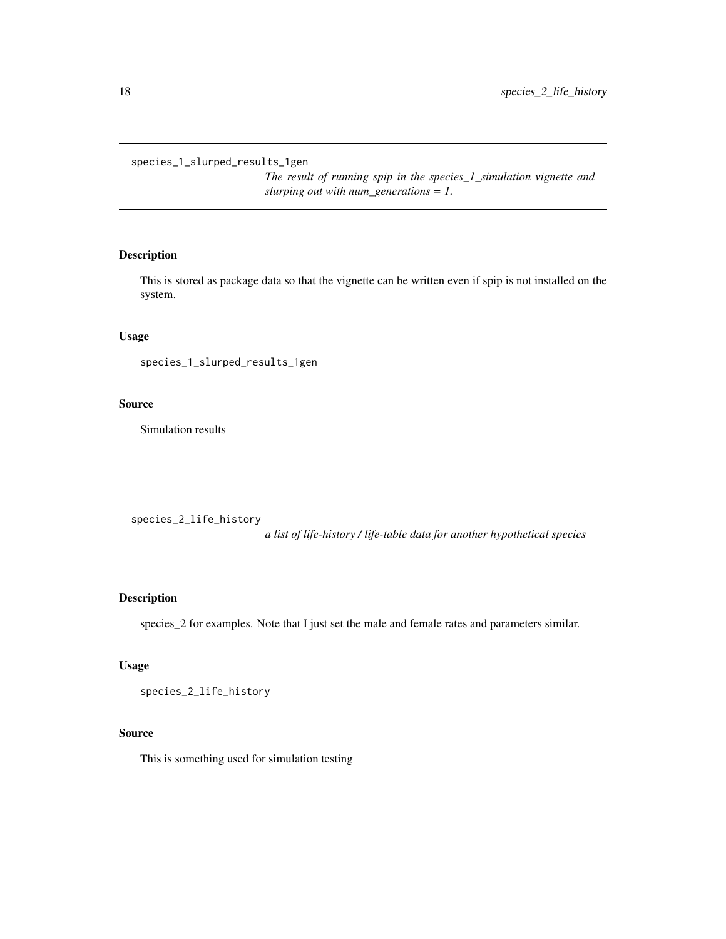<span id="page-17-0"></span>species\_1\_slurped\_results\_1gen

*The result of running spip in the species\_1\_simulation vignette and slurping out with num\_generations = 1.*

#### Description

This is stored as package data so that the vignette can be written even if spip is not installed on the system.

#### Usage

species\_1\_slurped\_results\_1gen

#### Source

Simulation results

species\_2\_life\_history

*a list of life-history / life-table data for another hypothetical species*

#### Description

species\_2 for examples. Note that I just set the male and female rates and parameters similar.

#### Usage

```
species_2_life_history
```
#### Source

This is something used for simulation testing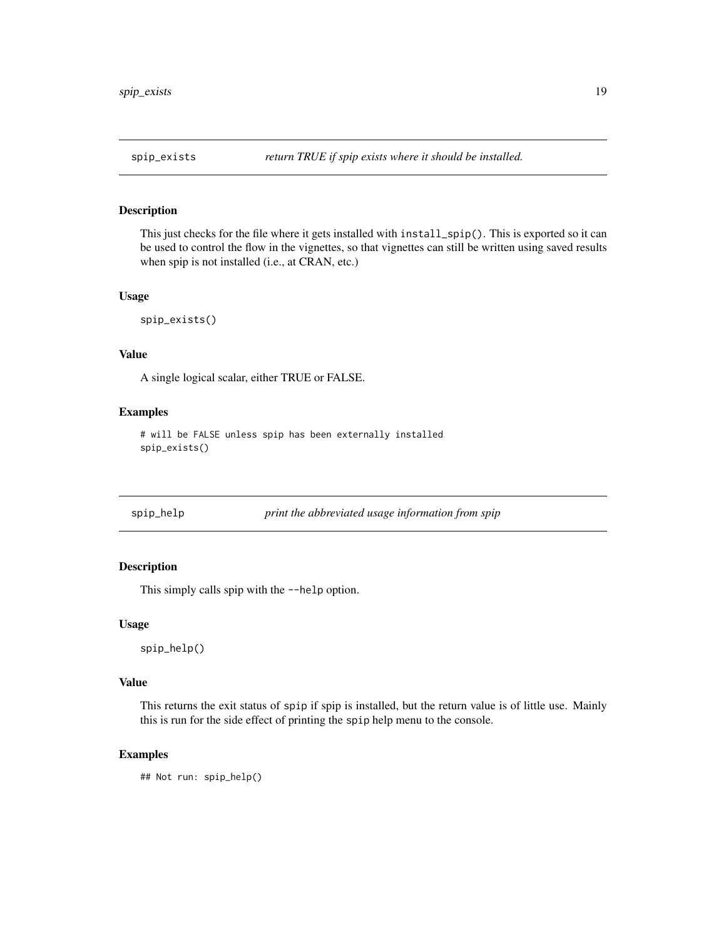<span id="page-18-0"></span>

#### Description

This just checks for the file where it gets installed with install\_spip(). This is exported so it can be used to control the flow in the vignettes, so that vignettes can still be written using saved results when spip is not installed (i.e., at CRAN, etc.)

#### Usage

spip\_exists()

#### Value

A single logical scalar, either TRUE or FALSE.

#### Examples

# will be FALSE unless spip has been externally installed spip\_exists()

| spip_help | pri |
|-----------|-----|

## spip\_help *print the abbreviated usage information from spip*

#### Description

This simply calls spip with the --help option.

#### Usage

spip\_help()

#### Value

This returns the exit status of spip if spip is installed, but the return value is of little use. Mainly this is run for the side effect of printing the spip help menu to the console.

#### Examples

## Not run: spip\_help()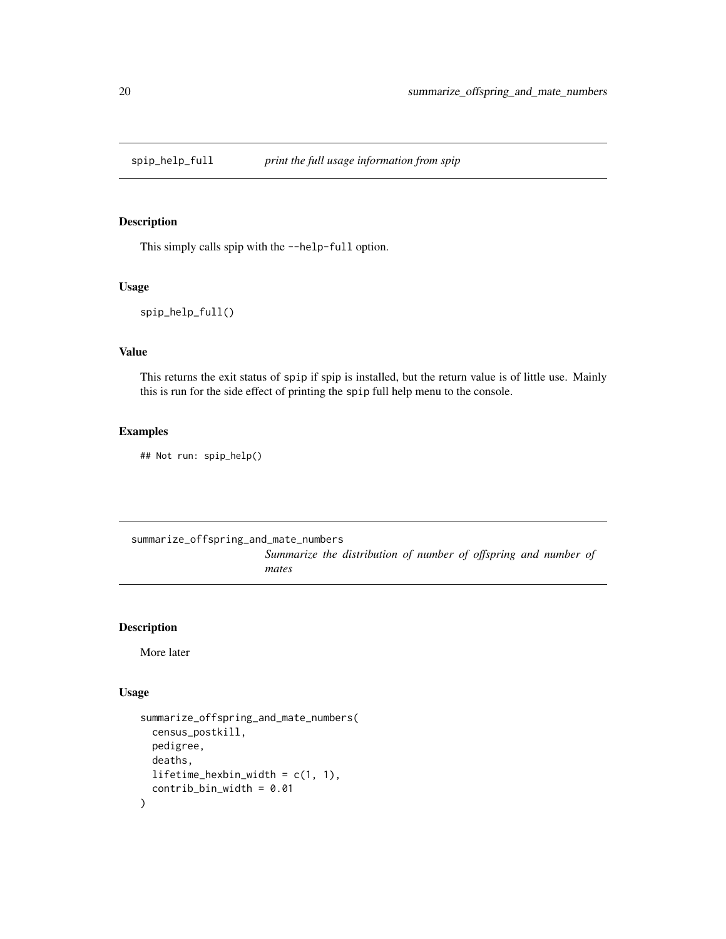<span id="page-19-0"></span>

#### Description

This simply calls spip with the --help-full option.

#### Usage

spip\_help\_full()

#### Value

This returns the exit status of spip if spip is installed, but the return value is of little use. Mainly this is run for the side effect of printing the spip full help menu to the console.

#### Examples

## Not run: spip\_help()

summarize\_offspring\_and\_mate\_numbers

*Summarize the distribution of number of offspring and number of mates*

#### Description

More later

#### Usage

```
summarize_offspring_and_mate_numbers(
 census_postkill,
 pedigree,
 deaths,
 lifetime_hexbin_width = c(1, 1),
  control\_bin\_width = 0.01)
```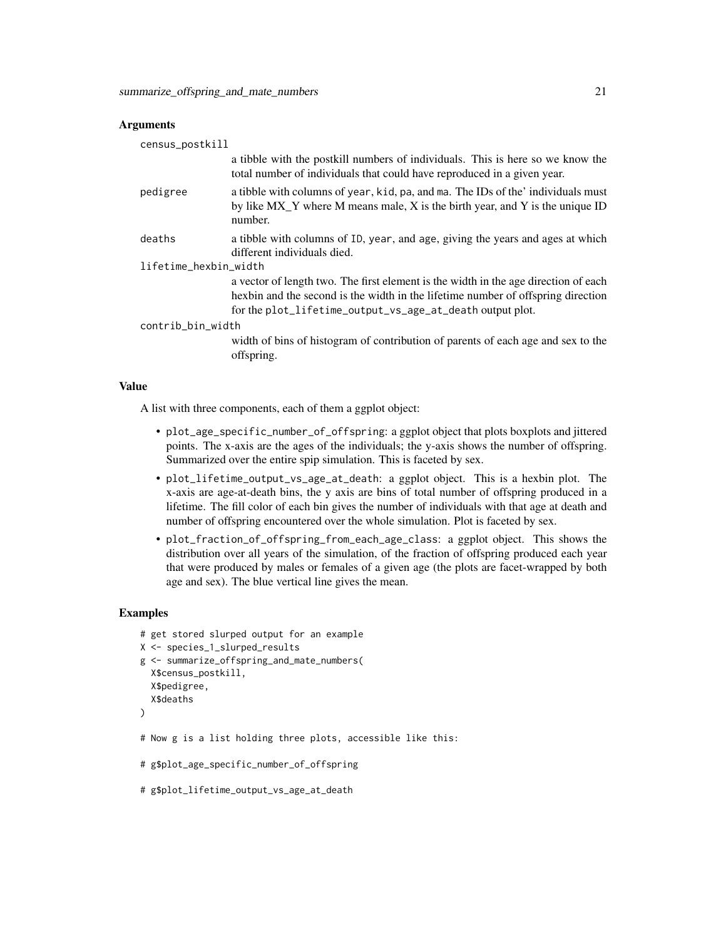#### **Arguments**

| census_postkill       |                                                                                                                                                                                                                                      |  |
|-----------------------|--------------------------------------------------------------------------------------------------------------------------------------------------------------------------------------------------------------------------------------|--|
|                       | a tibble with the postkill numbers of individuals. This is here so we know the<br>total number of individuals that could have reproduced in a given year.                                                                            |  |
| pedigree              | a tibble with columns of year, kid, pa, and ma. The IDs of the' individuals must<br>by like $MX_Y$ where M means male, X is the birth year, and Y is the unique ID<br>number.                                                        |  |
| deaths                | a tibble with columns of ID, year, and age, giving the years and ages at which<br>different individuals died.                                                                                                                        |  |
| lifetime_hexbin_width |                                                                                                                                                                                                                                      |  |
|                       | a vector of length two. The first element is the width in the age direction of each<br>hexbin and the second is the width in the lifetime number of offspring direction<br>for the plot_lifetime_output_vs_age_at_death output plot. |  |
| contrib_bin_width     |                                                                                                                                                                                                                                      |  |
|                       | width of bins of histogram of contribution of parents of each age and sex to the<br>offspring.                                                                                                                                       |  |

#### Value

A list with three components, each of them a ggplot object:

- plot\_age\_specific\_number\_of\_offspring: a ggplot object that plots boxplots and jittered points. The x-axis are the ages of the individuals; the y-axis shows the number of offspring. Summarized over the entire spip simulation. This is faceted by sex.
- plot\_lifetime\_output\_vs\_age\_at\_death: a ggplot object. This is a hexbin plot. The x-axis are age-at-death bins, the y axis are bins of total number of offspring produced in a lifetime. The fill color of each bin gives the number of individuals with that age at death and number of offspring encountered over the whole simulation. Plot is faceted by sex.
- plot\_fraction\_of\_offspring\_from\_each\_age\_class: a ggplot object. This shows the distribution over all years of the simulation, of the fraction of offspring produced each year that were produced by males or females of a given age (the plots are facet-wrapped by both age and sex). The blue vertical line gives the mean.

#### Examples

```
# get stored slurped output for an example
X <- species_1_slurped_results
g <- summarize_offspring_and_mate_numbers(
  X$census_postkill,
  X$pedigree,
  X$deaths
)
```
- # Now g is a list holding three plots, accessible like this:
- # g\$plot\_age\_specific\_number\_of\_offspring
- # g\$plot\_lifetime\_output\_vs\_age\_at\_death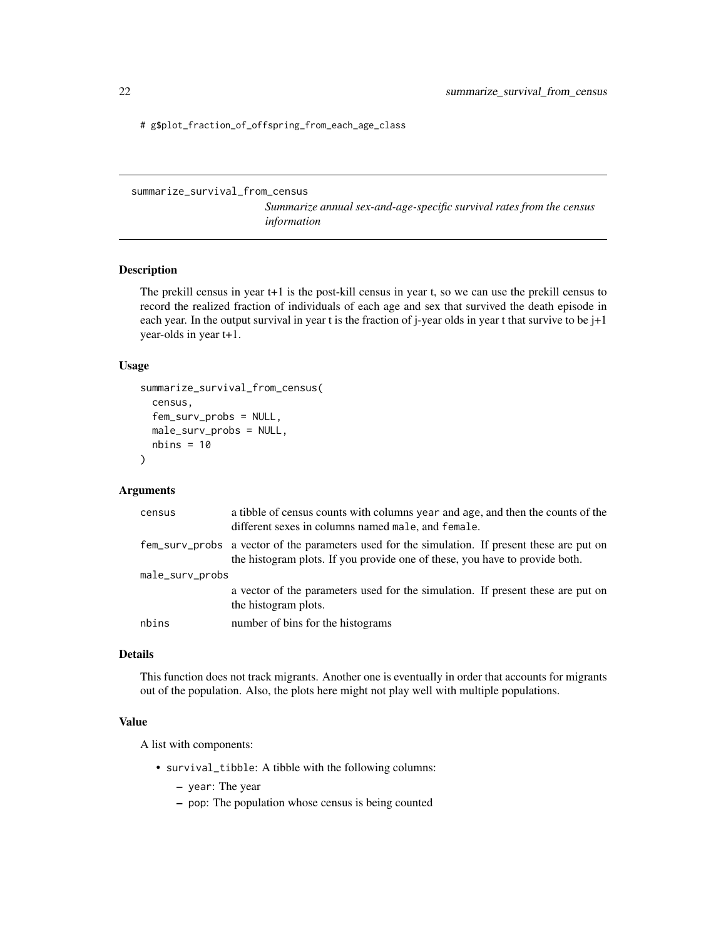<span id="page-21-0"></span># g\$plot\_fraction\_of\_offspring\_from\_each\_age\_class

summarize\_survival\_from\_census

*Summarize annual sex-and-age-specific survival rates from the census information*

#### Description

The prekill census in year t+1 is the post-kill census in year t, so we can use the prekill census to record the realized fraction of individuals of each age and sex that survived the death episode in each year. In the output survival in year t is the fraction of j-year olds in year t that survive to be j+1 year-olds in year t+1.

#### Usage

```
summarize_survival_from_census(
  census,
  fem_surv_probs = NULL,
 male_surv_probs = NULL,
 nbins = 10)
```
#### Arguments

| census          | a tibble of census counts with columns year and age, and then the counts of the<br>different sexes in columns named male, and female.                                         |  |
|-----------------|-------------------------------------------------------------------------------------------------------------------------------------------------------------------------------|--|
|                 | fem_surv_probs a vector of the parameters used for the simulation. If present these are put on<br>the histogram plots. If you provide one of these, you have to provide both. |  |
| male_surv_probs |                                                                                                                                                                               |  |
|                 | a vector of the parameters used for the simulation. If present these are put on<br>the histogram plots.                                                                       |  |
| nbins           | number of bins for the histograms                                                                                                                                             |  |

#### Details

This function does not track migrants. Another one is eventually in order that accounts for migrants out of the population. Also, the plots here might not play well with multiple populations.

#### Value

A list with components:

- survival\_tibble: A tibble with the following columns:
	- year: The year
	- pop: The population whose census is being counted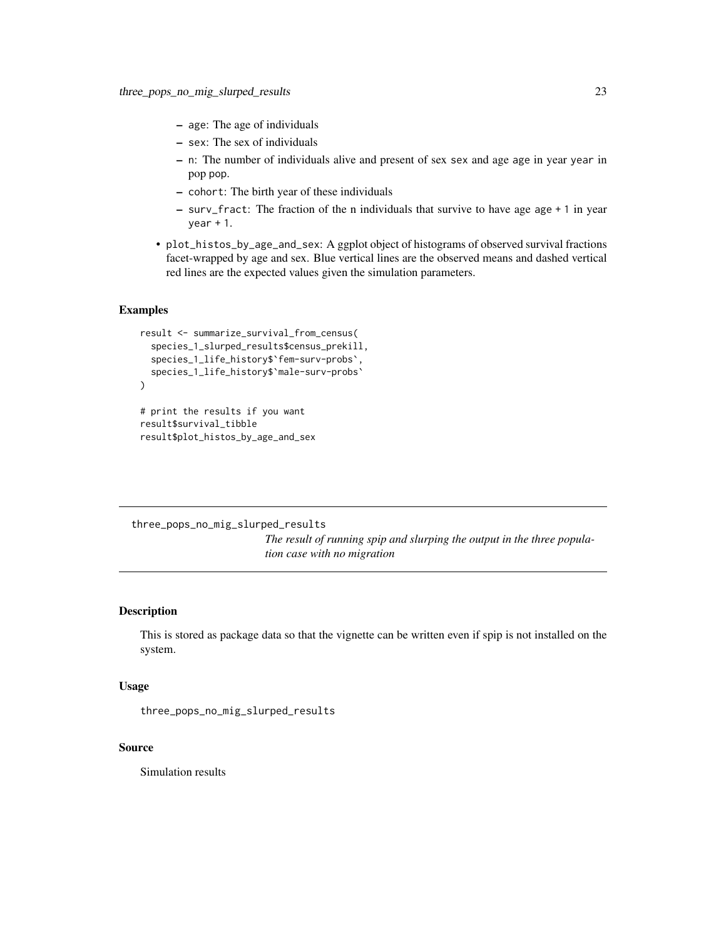- <span id="page-22-0"></span>– age: The age of individuals
- sex: The sex of individuals
- n: The number of individuals alive and present of sex sex and age age in year year in pop pop.
- cohort: The birth year of these individuals
- surv\_fract: The fraction of the n individuals that survive to have age age + 1 in year  $year + 1.$
- plot\_histos\_by\_age\_and\_sex: A ggplot object of histograms of observed survival fractions facet-wrapped by age and sex. Blue vertical lines are the observed means and dashed vertical red lines are the expected values given the simulation parameters.

#### Examples

```
result <- summarize_survival_from_census(
 species_1_slurped_results$census_prekill,
 species_1_life_history$`fem-surv-probs`,
 species_1_life_history$`male-surv-probs`
\mathcal{L}# print the results if you want
result$survival_tibble
```
result\$plot\_histos\_by\_age\_and\_sex

three\_pops\_no\_mig\_slurped\_results *The result of running spip and slurping the output in the three population case with no migration*

#### Description

This is stored as package data so that the vignette can be written even if spip is not installed on the system.

#### Usage

```
three_pops_no_mig_slurped_results
```
#### Source

Simulation results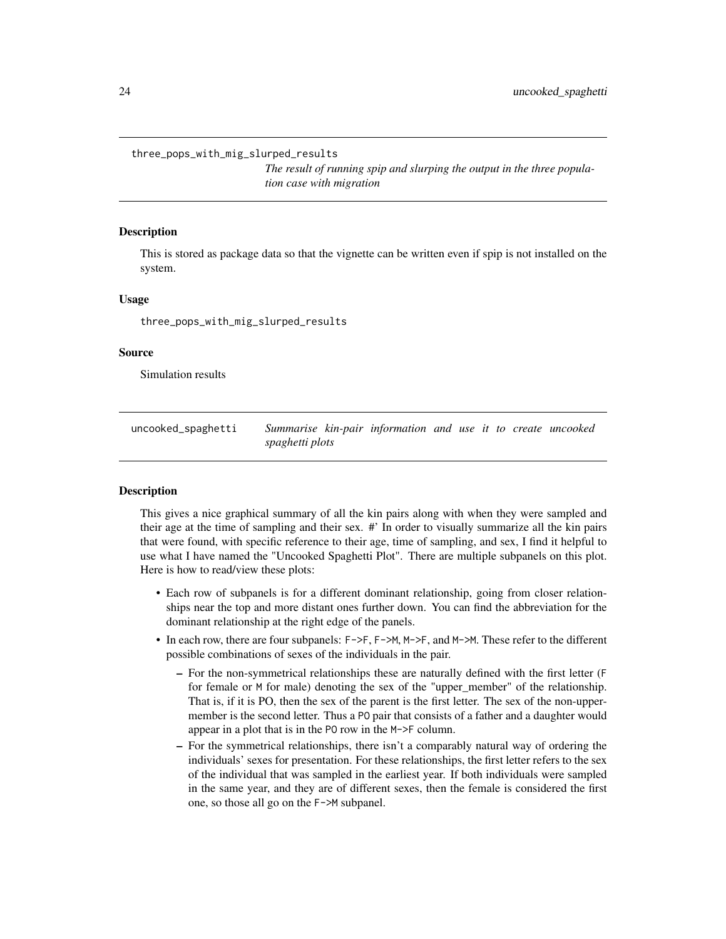<span id="page-23-0"></span>three\_pops\_with\_mig\_slurped\_results

*The result of running spip and slurping the output in the three population case with migration*

#### Description

This is stored as package data so that the vignette can be written even if spip is not installed on the system.

#### Usage

three\_pops\_with\_mig\_slurped\_results

#### Source

Simulation results

uncooked\_spaghetti *Summarise kin-pair information and use it to create uncooked spaghetti plots*

#### **Description**

This gives a nice graphical summary of all the kin pairs along with when they were sampled and their age at the time of sampling and their sex. #' In order to visually summarize all the kin pairs that were found, with specific reference to their age, time of sampling, and sex, I find it helpful to use what I have named the "Uncooked Spaghetti Plot". There are multiple subpanels on this plot. Here is how to read/view these plots:

- Each row of subpanels is for a different dominant relationship, going from closer relationships near the top and more distant ones further down. You can find the abbreviation for the dominant relationship at the right edge of the panels.
- In each row, there are four subpanels: F->F, F->M, M->F, and M->M. These refer to the different possible combinations of sexes of the individuals in the pair.
	- For the non-symmetrical relationships these are naturally defined with the first letter (F for female or M for male) denoting the sex of the "upper\_member" of the relationship. That is, if it is PO, then the sex of the parent is the first letter. The sex of the non-uppermember is the second letter. Thus a PO pair that consists of a father and a daughter would appear in a plot that is in the PO row in the M->F column.
	- For the symmetrical relationships, there isn't a comparably natural way of ordering the individuals' sexes for presentation. For these relationships, the first letter refers to the sex of the individual that was sampled in the earliest year. If both individuals were sampled in the same year, and they are of different sexes, then the female is considered the first one, so those all go on the F->M subpanel.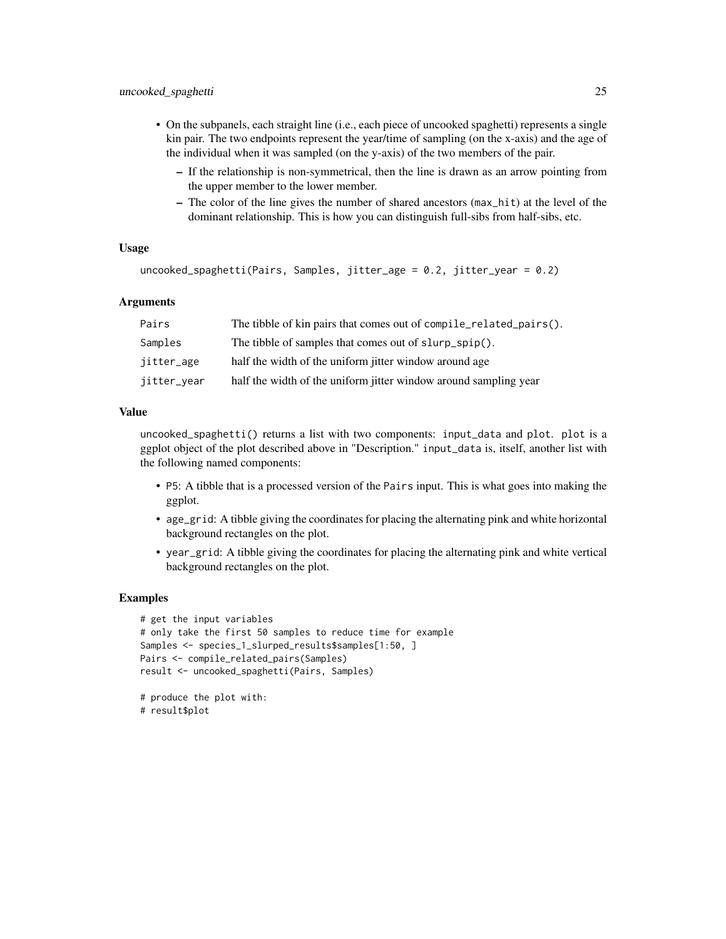- On the subpanels, each straight line (i.e., each piece of uncooked spaghetti) represents a single kin pair. The two endpoints represent the year/time of sampling (on the x-axis) and the age of the individual when it was sampled (on the y-axis) of the two members of the pair.
	- If the relationship is non-symmetrical, then the line is drawn as an arrow pointing from the upper member to the lower member.
	- The color of the line gives the number of shared ancestors (max\_hit) at the level of the dominant relationship. This is how you can distinguish full-sibs from half-sibs, etc.

#### Usage

```
uncooked_spaghetti(Pairs, Samples, jitter_age = 0.2, jitter_year = 0.2)
```
#### Arguments

| Pairs       | The tibble of kin pairs that comes out of compile_related_pairs(). |
|-------------|--------------------------------------------------------------------|
| Samples     | The tibble of samples that comes out of slurp_spip().              |
| jitter_age  | half the width of the uniform jitter window around age             |
| jitter_year | half the width of the uniform jitter window around sampling year   |

#### Value

uncooked\_spaghetti() returns a list with two components: input\_data and plot. plot is a ggplot object of the plot described above in "Description." input\_data is, itself, another list with the following named components:

- P5: A tibble that is a processed version of the Pairs input. This is what goes into making the ggplot.
- age\_grid: A tibble giving the coordinates for placing the alternating pink and white horizontal background rectangles on the plot.
- year\_grid: A tibble giving the coordinates for placing the alternating pink and white vertical background rectangles on the plot.

#### Examples

```
# get the input variables
# only take the first 50 samples to reduce time for example
Samples <- species_1_slurped_results$samples[1:50, ]
Pairs <- compile_related_pairs(Samples)
result <- uncooked_spaghetti(Pairs, Samples)
```

```
# produce the plot with:
# result$plot
```